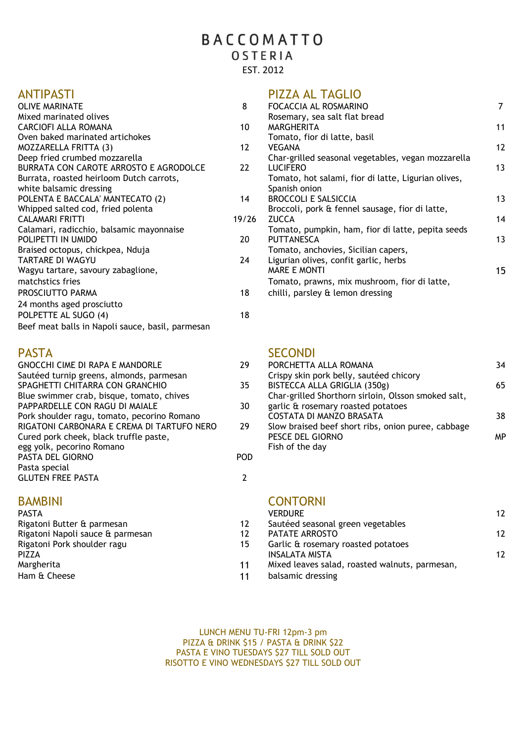# OSTERIA

EST. 2012

| <b>OLIVE MARINATE</b>                            | 8     | FOCACCIA AL ROSMARINO                               |
|--------------------------------------------------|-------|-----------------------------------------------------|
| Mixed marinated olives                           |       | Rosemary, sea salt flat bread                       |
| CARCIOFI ALLA ROMANA                             | 10    | MARGHERITA                                          |
| Oven baked marinated artichokes                  |       | Tomato, fior di latte, basil                        |
| <b>MOZZARELLA FRITTA (3)</b>                     | 12    | <b>VEGANA</b>                                       |
| Deep fried crumbed mozzarella                    |       | Char-grilled seasonal vegetables, vegan mozzarella  |
| BURRATA CON CAROTE ARROSTO E AGRODOLCE           | 22    | <b>LUCIFERO</b>                                     |
| Burrata, roasted heirloom Dutch carrots,         |       | Tomato, hot salami, fior di latte, Ligurian olives, |
| white balsamic dressing                          |       | Spanish onion                                       |
| POLENTA E BACCALA' MANTECATO (2)                 | 14    | <b>BROCCOLLE SALSICCIA</b>                          |
| Whipped salted cod, fried polenta                |       | Broccoli, pork & fennel sausage, fior di latte,     |
| <b>CALAMARI FRITTI</b>                           | 19/26 | <b>ZUCCA</b>                                        |
| Calamari, radicchio, balsamic mayonnaise         |       | Tomato, pumpkin, ham, fior di latte, pepita seeds   |
| POLIPETTI IN UMIDO                               | 20    | <b>PUTTANESCA</b>                                   |
| Braised octopus, chickpea, Nduja                 |       | Tomato, anchovies, Sicilian capers,                 |
| TARTARE DI WAGYU                                 | 24    | Ligurian olives, confit garlic, herbs               |
| Wagyu tartare, savoury zabaglione,               |       | <b>MARE E MONTI</b>                                 |
| matchstics fries                                 |       | Tomato, prawns, mix mushroom, fior di latte,        |
| PROSCIUTTO PARMA                                 | 18    | chilli, parsley & lemon dressing                    |
| 24 months aged prosciutto                        |       |                                                     |
| POLPETTE AL SUGO (4)                             | 18    |                                                     |
| Beef meat balls in Napoli sauce, basil, parmesan |       |                                                     |

|      | <b>SECONDI</b>                                      |
|------|-----------------------------------------------------|
| 29   | PORCHETTA ALLA ROMANA                               |
|      | Crispy skin pork belly, sautéed chicory             |
| 35.  | BISTECCA ALLA GRIGLIA (350g)                        |
|      | Char-grilled Shorthorn sirloin, Olsson smoked salt, |
| 30   | garlic & rosemary roasted potatoes                  |
|      | COSTATA DI MANZO BRASATA                            |
| 29   | Slow braised beef short ribs, onion puree, cabbage  |
|      | PESCE DEL GIORNO                                    |
|      | Fish of the day                                     |
| POD. |                                                     |
|      |                                                     |
|      |                                                     |
|      |                                                     |

| <b>PASTA</b>                     |    | <b>VERDURE</b>                      |
|----------------------------------|----|-------------------------------------|
| Rigatoni Butter & parmesan       | 12 | Sautéed seasonal green vegetables   |
| Rigatoni Napoli sauce & parmesan | 17 | PATATE ARROSTO                      |
| Rigatoni Pork shoulder ragu      | 15 | Garlic & rosemary roasted potatoes  |
| PIZZA                            |    | INSALATA MISTA                      |
| Margherita                       | 11 | Mixed leaves salad, roasted walnuts |
| Ham & Cheese                     |    | balsamic dressing                   |

## ANTIPASTI PIZZA AL TAGLIO

| <b>OLIVE MARINATE</b>                    | 8     | FOCACCIA AL ROSMARINO                               |                   |
|------------------------------------------|-------|-----------------------------------------------------|-------------------|
| Mixed marinated olives                   |       | Rosemary, sea salt flat bread                       |                   |
| CARCIOFI ALLA ROMANA                     | 10    | MARGHERITA                                          | 11                |
| Oven baked marinated artichokes          |       | Tomato, fior di latte, basil                        |                   |
| MOZZARELLA FRITTA (3)                    | 12    | <b>VEGANA</b>                                       | $12 \overline{ }$ |
| Deep fried crumbed mozzarella            |       | Char-grilled seasonal vegetables, vegan mozzarella  |                   |
| BURRATA CON CAROTE ARROSTO E AGRODOLCE   | 22    | <b>LUCIFERO</b>                                     | 13                |
| Burrata, roasted heirloom Dutch carrots, |       | Tomato, hot salami, fior di latte, Ligurian olives, |                   |
| white balsamic dressing                  |       | Spanish onion                                       |                   |
| POLENTA E BACCALA' MANTECATO (2)         | 14    | <b>BROCCOLI E SALSICCIA</b>                         | 13                |
| Whipped salted cod, fried polenta        |       | Broccoli, pork & fennel sausage, fior di latte,     |                   |
| CALAMARI FRITTI                          | 19/26 | <b>ZUCCA</b>                                        | 14                |
| Calamari, radicchio, balsamic mayonnaise |       | Tomato, pumpkin, ham, fior di latte, pepita seeds   |                   |
| POLIPETTI IN UMIDO                       | 20    | PUTTANESCA                                          | 13                |
| Braised octopus, chickpea, Nduja         |       | Tomato, anchovies, Sicilian capers,                 |                   |
| TARTARE DI WAGYU                         | 24    | Ligurian olives, confit garlic, herbs               |                   |
| Wagyu tartare, savoury zabaglione,       |       | <b>MARE E MONTI</b>                                 | 15                |
| matchstics fries                         |       | Tomato, prawns, mix mushroom, fior di latte,        |                   |
| PROSCIUTTO PARMA                         | 18    | chilli, parsley & lemon dressing                    |                   |
|                                          |       |                                                     |                   |

| <b>GNOCCHI CIME DI RAPA E MANDORLE</b>      | 29 | PORCHETTA ALLA ROMANA                               | 34 |
|---------------------------------------------|----|-----------------------------------------------------|----|
| Sautéed turnip greens, almonds, parmesan    |    | Crispy skin pork belly, sautéed chicory             |    |
| SPAGHETTI CHITARRA CON GRANCHIO             | 35 | BISTECCA ALLA GRIGLIA (350g)                        | 65 |
| Blue swimmer crab, bisque, tomato, chives   |    | Char-grilled Shorthorn sirloin, Olsson smoked salt, |    |
| PAPPARDELLE CON RAGU DI MAIALE              | 30 | garlic & rosemary roasted potatoes                  |    |
| Pork shoulder ragu, tomato, pecorino Romano |    | COSTATA DI MANZO BRASATA                            | 38 |
| RIGATONI CARBONARA E CREMA DI TARTUFO NERO  | 29 | Slow braised beef short ribs, onion puree, cabbage  |    |
| Cured pork cheek, black truffle paste,      |    | PESCE DEL GIORNO                                    | MP |
| egg yolk, pecorino Romano                   |    | Fish of the day                                     |    |
|                                             |    |                                                     |    |

## BAMBINI CONTORNI

| <b>PASTA</b>                     |    | VERDURE                                        | $12 \overline{ }$ |
|----------------------------------|----|------------------------------------------------|-------------------|
| Rigatoni Butter & parmesan       | 12 | Sautéed seasonal green vegetables              |                   |
| Rigatoni Napoli sauce & parmesan | 12 | PATATE ARROSTO                                 | $12 \overline{ }$ |
| Rigatoni Pork shoulder ragu      | 15 | Garlic & rosemary roasted potatoes             |                   |
| PIZZA                            |    | INSALATA MISTA                                 | $12 \overline{ }$ |
| Margherita                       | 11 | Mixed leaves salad, roasted walnuts, parmesan, |                   |
| Ham & Cheese                     | 11 | balsamic dressing                              |                   |

LUNCH MENU TU-FRI 12pm-3 pm PIZZA & DRINK \$15 / PASTA & DRINK \$22 PASTA E VINO TUESDAYS \$27 TILL SOLD OUT RISOTTO E VINO WEDNESDAYS \$27 TILL SOLD OUT